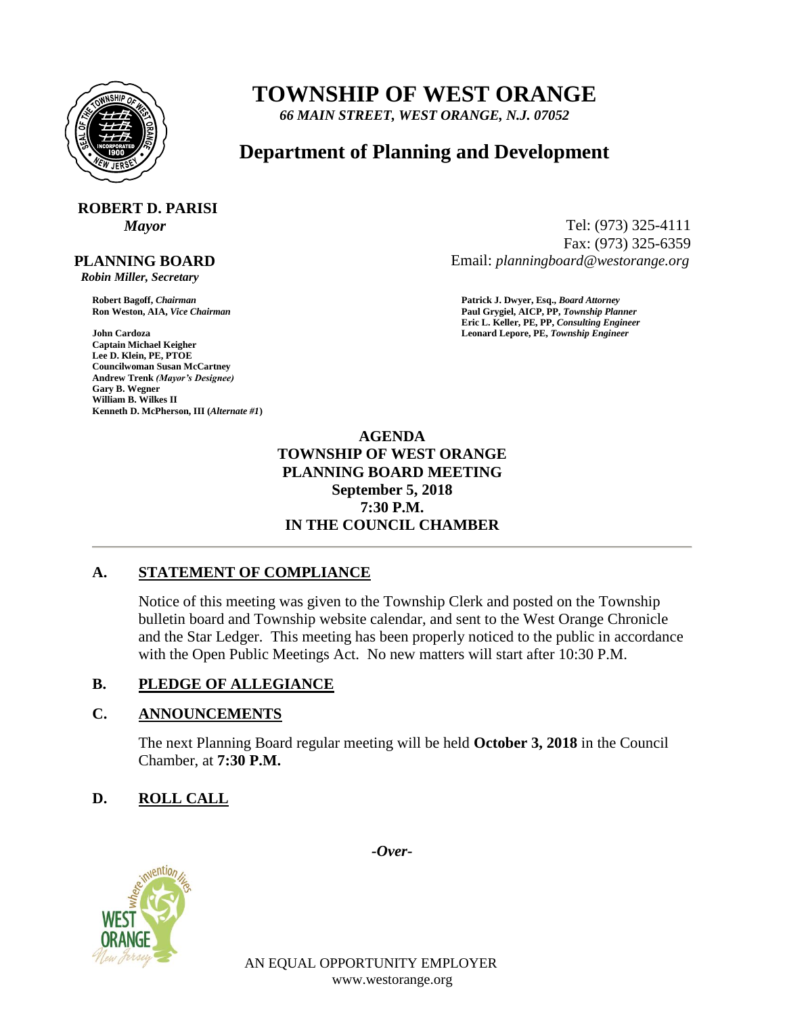

# **TOWNSHIP OF WEST ORANGE**

*66 MAIN STREET, WEST ORANGE, N.J. 07052*

# **Department of Planning and Development**

# **ROBERT D. PARISI**

#### **PLANNING BOARD**

 *Robin Miller, Secretary*

**John Cardoza Leonard Lepore, PE,** *Township Engineer* **Captain Michael Keigher Lee D. Klein, PE, PTOE Councilwoman Susan McCartney Andrew Trenk** *(Mayor's Designee)* **Gary B. Wegner William B. Wilkes II Kenneth D. McPherson, III (***Alternate #1***)**

*Mayor* Tel: (973) 325-4111 Fax: (973) 325-6359 Email: *planningboard@westorange.org*

**Robert Bagoff,** *Chairman* **Patrick J. Dwyer, Esq.,** *Board Attorney* **Ron Weston, AIA,** *Vice Chairman* **Paul Grygiel, AICP, PP,** *Township Planner* **Eric L. Keller, PE, PP,** *Consulting Engineer*

> **AGENDA TOWNSHIP OF WEST ORANGE PLANNING BOARD MEETING September 5, 2018 7:30 P.M. IN THE COUNCIL CHAMBER**

# **A. STATEMENT OF COMPLIANCE**

Notice of this meeting was given to the Township Clerk and posted on the Township bulletin board and Township website calendar, and sent to the West Orange Chronicle and the Star Ledger. This meeting has been properly noticed to the public in accordance with the Open Public Meetings Act. No new matters will start after 10:30 P.M.

# **B. PLEDGE OF ALLEGIANCE**

## **C. ANNOUNCEMENTS**

The next Planning Board regular meeting will be held **October 3, 2018** in the Council Chamber, at **7:30 P.M.**

# **D. ROLL CALL**



*-Over-*